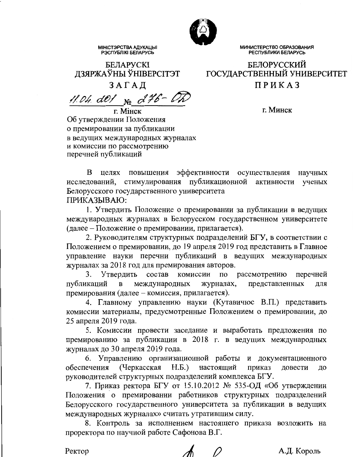

МИНИСТЕРСТВО ОБРАЗОВАНИЯ РЕСПУБЛИКИ БЕЛАРУСЬ

**БЕЛОРУССКИЙ** 

ГОСУДАРСТВЕННЫЙ УНИВЕРСИТЕТ

ПРИКАЗ

# **БЕЛАРУСКІ** ДЗЯРЖАЎНЫ ЎНІВЕРСІТЭТ

**МІНІСТЭРСТВА АДУКАЦЫІ**<br>РЭСПУБЛІКІ БЕЛАРУСЬ

ЗАГАД

11.04. de1  $_{\textrm{Ne}}$  d46-Oh

г. Минск

г. Мінск Об утверждении Положения о премировании за публикации в ведущих международных журналах и комиссии по рассмотрению перечней публикаций

B. целях повышения эффективности осуществления научных исследований, стимулирования публикационной активности ученых Белорусского государственного университета ПРИКАЗЫВАЮ:

1. Утвердить Положение о премировании за публикации в ведущих международных журналах в Белорусском государственном университете (далее – Положение о премировании, прилагается).

2. Руководителям структурных подразделений БГУ, в соответствии с Положением о премировании, до 19 апреля 2019 год представить в Главное управление науки перечни публикаций в ведущих международных журналах за 2018 год для премирования авторов.

Утвердить состав комиссии  $\Pi$ O рассмотрению 3. перечней публикаций  $\overline{B}$ международных журналах, представленных ДЛЯ премирования (далее - комиссия, прилагается).

4. Главному управлению науки (Кутавичюс В.П.) представить комиссии материалы, предусмотренные Положением о премировании, до 25 апреля 2019 года.

5. Комиссии провести заседание и выработать предложения по премированию за публикации в 2018 г. в ведущих международных журналах до 30 апреля 2019 года.

6. Управлению организационной работы и документационного (Черкасская  $H.E.$ обеспечения настоящий приказ довести ДО руководителей структурных подразделений комплекса БГУ.

7. Приказ ректора БГУ от 15.10.2012 № 535-ОД «Об утверждении Положения о премировании работников структурных подразделений Белорусского государственного университета за публикации в ведущих международных журналах» считать утратившим силу.

8. Контроль за исполнением настоящего приказа возложить на проректора по научной работе Сафонова В.Г.

Ректор

А.Д. Король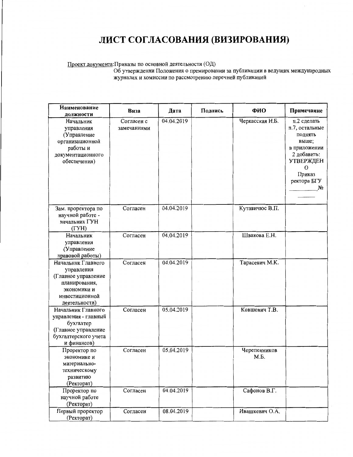# ЛИСТ СОГЛАСОВАНИЯ (ВИЗИРОВАНИЯ)

Проект документа:Приказы по основной деятельности (ОД)<br>Об утверждении Положения о премировании за публикации в ведущих международных журналах и комиссии по рассмотрению перечней публикаций

| Наименование<br>должности                                                                                                  | Виза                      | Дата       | Подпись | ФИО                  | Примечание                                                                                                                                                  |
|----------------------------------------------------------------------------------------------------------------------------|---------------------------|------------|---------|----------------------|-------------------------------------------------------------------------------------------------------------------------------------------------------------|
| Начальник<br>управления<br>(Управление<br>организационной<br>работы и<br>документационного<br>обеспечения)                 | Согласен с<br>замечаниями | 04.04.2019 |         | Черкасская Н.Б.      | п.2 сделать<br>п.7, остальные<br>ПОДНЯТЬ<br>выше;<br>в приложении<br>2 добавить:<br><b>УТВЕРЖДЕН</b><br>$\Omega$<br>Приказ<br>ректора БГУ<br>N <sub>2</sub> |
| Зам. проректора по<br>научной работе -<br>начальник ГУН<br>(TYH)                                                           | Согласен                  | 04.04.2019 |         | Кутавичюс В.П.       |                                                                                                                                                             |
| Начальник<br>управления<br>(Управление<br>правовой работы)                                                                 | Согласен                  | 04.04.2019 |         | Швакова Е.Н.         |                                                                                                                                                             |
| Начальник Главного<br>управления<br>(Главное управление<br>планирования,<br>экономики и<br>инвестиционной<br>деятельности) | Согласен                  | 04.04.2019 |         | Тарасевич М.К.       |                                                                                                                                                             |
| Начальник Главного<br>управления - главный<br>бухгалтер<br>(Главное управление<br>бухгалтерского учета<br>и финансов)      | Согласен                  | 05.04.2019 |         | Ковшевич Т.В.        |                                                                                                                                                             |
| Проректор по<br>экономике и<br>материально-<br>техническому<br>развитию<br>(Ректорат)                                      | Согласен                  | 05.04.2019 |         | Черепенников<br>М.Б. |                                                                                                                                                             |
| Проректор по<br>научной работе<br>(Ректорат)                                                                               | Согласен                  | 04.04.2019 |         | Сафонов В.Г.         |                                                                                                                                                             |
| Первый проректор<br>(Ректорат)                                                                                             | Согласен                  | 08.04.2019 |         | Ивашкевич О.А.       |                                                                                                                                                             |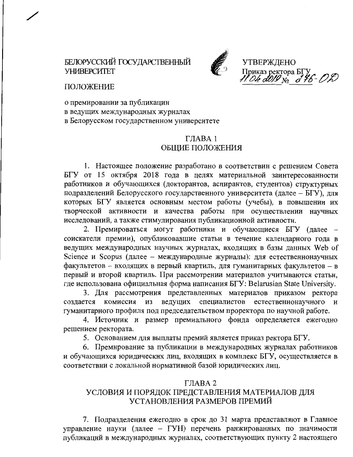## БЕЛОРУССКИЙ ГОСУДАРСТВЕННЫЙ **УНИВЕРСИТЕТ**



**УТВЕРЖДЕНО** Приказ ректора БГУ<br>11. Oh d019  $_{\text{Ne}}$  d 46 - O

ПОЛОЖЕНИЕ

о премировании за публикации в ведущих международных журналах в Белорусском государственном университете

#### ГЛАВА 1 ОБЩИЕ ПОЛОЖЕНИЯ

1. Настоящее положение разработано в соответствии с решением Совета БГУ от 15 октября 2018 года в целях материальной заинтересованности работников и обучающихся (докторантов, аспирантов, студентов) структурных подразделений Белорусского государственного университета (далее - БГУ), для которых БГУ является основным местом работы (учебы), в повышении их творческой активности и качества работы при осуществлении научных исследований, а также стимулирования публикационной активности.

2. Премироваться могут работники и обучающиеся БГУ (далее соискатели премии), опубликовавшие статьи в течение календарного года в ведущих международных научных журналах, входящих в базы данных Web of Science и Scopus (далее - международные журналы): для естественнонаучных факультетов - входящих в первый квартиль, для гуманитарных факультетов - в первый и второй квартиль. При рассмотрении материалов учитываются статьи, где использована официальная форма написания БГУ: Belarusian State University.

3. Для рассмотрения представленных материалов приказом ректора создается комиссия из ведущих специалистов естественнонаучного и гуманитарного профиля под председательством проректора по научной работе.

4. Источник и размер премиального фонда определяется ежегодно решением ректората.

5. Основанием для выплаты премий является приказ ректора БГУ.

6. Премирование за публикации в международных журналах работников и обучающихся юридических лиц, входящих в комплекс БГУ, осуществляется в соответствии с локальной нормативной базой юридических лиц.

#### ГЛАВА 2

# УСЛОВИЯ И ПОРЯДОК ПРЕДСТАВЛЕНИЯ МАТЕРИАЛОВ ДЛЯ УСТАНОВЛЕНИЯ РАЗМЕРОВ ПРЕМИЙ

7. Подразделения ежегодно в срок до 31 марта представляют в Главное управление науки (далее - ГУН) перечень ранжированных по значимости публикаций в международных журналах, соответствующих пункту 2 настоящего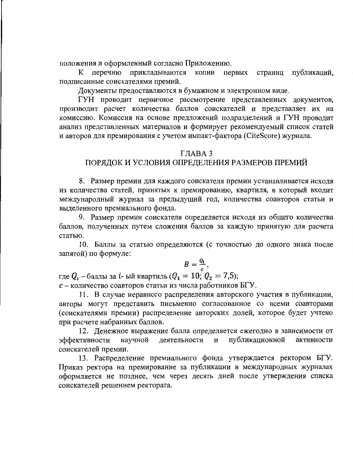положения и оформленный согласно Приложению.

страниц публикаций, перечню прикладываются копии первых  $K$ подписанные соискателями премий.

Документы предоставляются в бумажном и электронном виде.

ГУН проводит первичное рассмотрение представленных документов, производит расчет количества баллов соискателей и представляет их на комиссию. Комиссия на основе предложений подразделений и ГУН проводит анализ представленных материалов и формирует рекомендуемый список статей и авторов для премирования с учетом импакт-фактора (CiteScore) журнала.

#### ГЛАВА 3

### ПОРЯДОК И УСЛОВИЯ ОПРЕДЕЛЕНИЯ РАЗМЕРОВ ПРЕМИЙ

8. Размер премии для каждого соискателя премии устанавливается исходя из количества статей, принятых к премированию, квартиля, в который входит международный журнал за предыдущий год, количества соавторов статьи и выделенного премиального фонда.

9. Размер премии соискателя определяется исходя из общего количества баллов, полученных путем сложения баллов за каждую принятую для расчета статью.

10. Баллы за статью определяются (с точностью до одного знака после запятой) по формуле:

$$
B=\frac{Q_i}{c},
$$

где  $Q_i$  – баллы за *i*-ый квартиль ( $Q_i = 10$ ;  $Q_2 = 7.5$ );  $c$  – количество соавторов статьи из числа работников БГУ.

11. В случае неравного распределения авторского участия в публикации, авторы могут представить письменно согласованное со всеми соавторами (соискателями премии) распределение авторских долей, которое будет учтено при расчете набранных баллов.

12. Денежное выражение балла определяется ежегодно в зависимости от публикационной эффективности научной деятельности И активности соискателей премии.

13. Распределение премиального фонда утверждается ректором БГУ. Приказ ректора на премирование за публикации в международных журналах оформляется не позднее, чем через десять дней после утверждения списка соискателей решением ректората.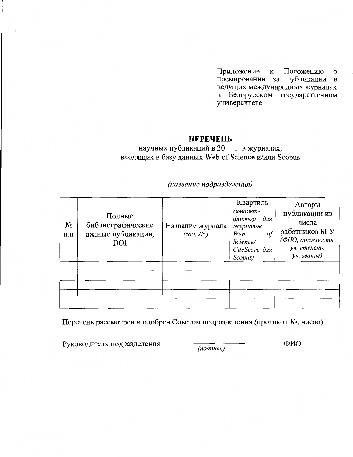Приложение к Положению  $\mathbf{o}$ премировании за публикации в ведущих международных журналах в Белорусском государственном университете

#### **ПЕРЕЧЕНЬ**

научных публикаций в 20 г. в журналах, входящих в базу данных Web of Science и/или Scopus

(название подразделения)

| $N_{2}$<br>$\Pi.\Pi$ | Полные<br>библиографические<br>данные публикации,<br>DOI | Название журнала<br>$(zo\partial, N_2)$ | Квартиль<br>(импакт-<br>фактор для<br>журналов<br>Web<br>$\it of$<br>Science/<br>CiteScore для<br>Scopus) | Авторы<br>публикации из<br>числа<br>работников БГУ<br>(ФИО, должность,<br>уч. степень,<br>уч. звание) |
|----------------------|----------------------------------------------------------|-----------------------------------------|-----------------------------------------------------------------------------------------------------------|-------------------------------------------------------------------------------------------------------|
|                      |                                                          |                                         |                                                                                                           |                                                                                                       |

Перечень рассмотрен и одобрен Советом подразделения (протокол №, число).

Руководитель подразделения

 $(nodnucb)$ 

ФИО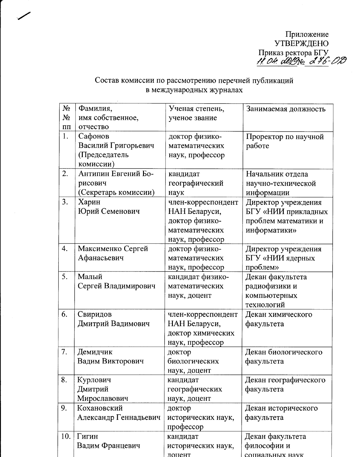Приложение<br>УТВЕРЖДЕНО<br>Приказ ректора БГУ<br>1. 04. d029 No d 76-02

# Состав комиссии по рассмотрению перечней публикаций<br>в международных журналах

| $N_2$    | Фамилия,              | Ученая степень,    | Занимаемая должность  |
|----------|-----------------------|--------------------|-----------------------|
| $N_2$    | имя собственное,      | ученое звание      |                       |
| $\Pi\Pi$ | отчество              |                    |                       |
| 1.       | Сафонов               | доктор физико-     | Проректор по научной  |
|          | Василий Григорьевич   | математических     | работе                |
|          | (Председатель         | наук, профессор    |                       |
|          | комиссии)             |                    |                       |
| 2.       | Антипин Евгений Бо-   | кандидат           | Начальник отдела      |
|          | рисович               | географический     | научно-технической    |
|          | (Секретарь комиссии)  | наук               | информации            |
| 3.       | Харин                 | член-корреспондент | Директор учреждения   |
|          | Юрий Семенович        | НАН Беларуси,      | БГУ «НИИ прикладных   |
|          |                       | доктор физико-     | проблем математики и  |
|          |                       | математических     | информатики»          |
|          |                       | наук, профессор    |                       |
| 4.       | Максименко Сергей     | доктор физико-     | Директор учреждения   |
|          | Афанасьевич           | математических     | БГУ «НИИ ядерных      |
|          |                       | наук, профессор    | проблем»              |
| 5.       | Малый                 | кандидат физико-   | Декан факультета      |
|          | Сергей Владимирович   | математических     | радиофизики и         |
|          |                       | наук, доцент       | компьютерных          |
|          |                       |                    | технологий            |
| 6.       | Свиридов              | член-корреспондент | Декан химического     |
|          | Дмитрий Вадимович     | НАН Беларуси,      | факультета            |
|          |                       | доктор химических  |                       |
|          |                       | наук, профессор    |                       |
| 7.       | Демидчик              | доктор             | Декан биологического  |
|          | Вадим Викторович      | биологических      | факультета            |
|          |                       | наук, доцент       |                       |
| 8.       | Курлович              | кандидат           | Декан географического |
|          | Дмитрий               | географических     | факультета            |
|          | Мирославович          | наук, доцент       |                       |
| 9.       | Кохановский           | доктор             | Декан исторического   |
|          | Александр Геннадьевич | исторических наук, | факультета            |
|          |                       | профессор          |                       |
| 10.      | Гигин                 | кандидат           | Декан факультета      |
|          | Вадим Францевич       | исторических наук, | философии и           |
|          |                       | лоцент             | социальных наук       |